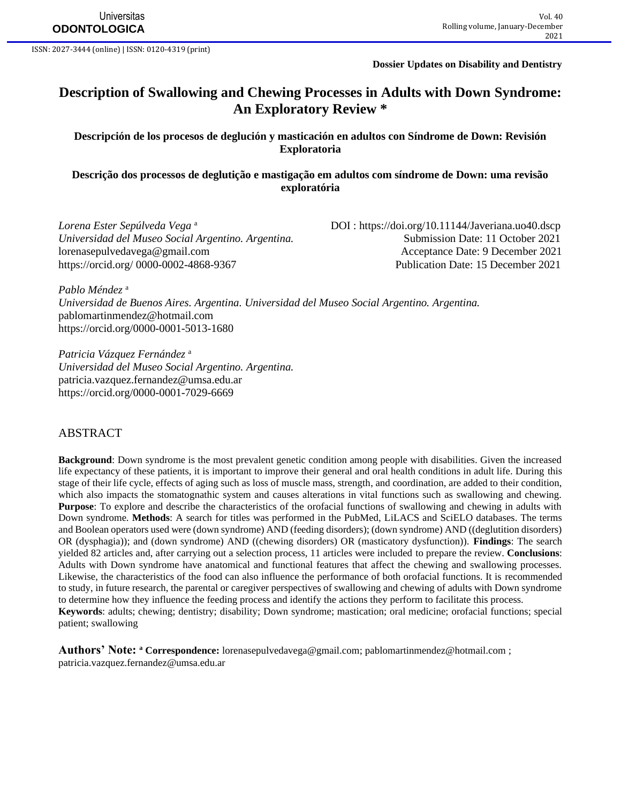**Universitas ODONTOLOGICA**

ISSN: 2027-3444 (online) | ISSN: 0120-4319 (print)

**Dossier Updates on Disability and Dentistry**

# **Description of Swallowing and Chewing Processes in Adults with Down Syndrome: An Exploratory Review \***

**Descripción de los procesos de deglución y masticación en adultos con Síndrome de Down: Revisión Exploratoria**

**Descrição dos processos de deglutição e mastigação em adultos com síndrome de Down: uma revisão exploratória**

*Lorena Ester Sepúlveda Vega* a *Universidad del Museo Social Argentino. Argentina.* Submission Date: 11 October 2021 [lorenasepulvedavega@gmail.com](mailto:lorenasepulvedavega@gmail.com) Acceptance Date: 9 December 2021

 DOI :<https://doi.org/10.11144/Javeriana.uo40.dscp> [https://orcid.org/ 0000-0002-4868-9367](https://orcid.org/0000-0002-4868-9367) Publication Date: 15 December 2021

*Pablo Méndez* <sup>a</sup> *Universidad de Buenos Aires. Argentina. Universidad del Museo Social Argentino. Argentina.* [pablomartinmendez@hotmail.com](mailto:pablomartinmendez@hotmail.com) https://orcid.org[/0000-0001-5013-1680](https://orcid.org/0000-0001-5013-1680)

*Patricia Vázquez Fernández* <sup>a</sup> *Universidad del Museo Social Argentino. Argentina.* [patricia.vazquez.fernandez@umsa.edu.ar](mailto:patricia.vazquez.fernandez@umsa.edu.ar) <https://orcid.org/0000-0001-7029-6669>

#### ABSTRACT

**Background**: Down syndrome is the most prevalent genetic condition among people with disabilities. Given the increased life expectancy of these patients, it is important to improve their general and oral health conditions in adult life. During this stage of their life cycle, effects of aging such as loss of muscle mass, strength, and coordination, are added to their condition, which also impacts the stomatognathic system and causes alterations in vital functions such as swallowing and chewing. **Purpose**: To explore and describe the characteristics of the orofacial functions of swallowing and chewing in adults with Down syndrome. **Methods**: A search for titles was performed in the PubMed, LiLACS and SciELO databases. The terms and Boolean operators used were (down syndrome) AND (feeding disorders); (down syndrome) AND ((deglutition disorders) OR (dysphagia)); and (down syndrome) AND ((chewing disorders) OR (masticatory dysfunction)). **Findings**: The search yielded 82 articles and, after carrying out a selection process, 11 articles were included to prepare the review. **Conclusions**: Adults with Down syndrome have anatomical and functional features that affect the chewing and swallowing processes. Likewise, the characteristics of the food can also influence the performance of both orofacial functions. It is recommended to study, in future research, the parental or caregiver perspectives of swallowing and chewing of adults with Down syndrome to determine how they influence the feeding process and identify the actions they perform to facilitate this process. **Keywords**: adults; chewing; dentistry; disability; Down syndrome; mastication; oral medicine; orofacial functions; special patient; swallowing

**Authors' Note: <sup>a</sup> Correspondence:** [lorenasepulvedavega@gmail.com;](mailto:lorenasepulvedavega@gmail.com) [pablomartinmendez@hotmail.com](mailto:pablomartinmendez@hotmail.com) ; [patricia.vazquez.fernandez@umsa.edu.ar](mailto:patricia.vazquez.fernandez@umsa.edu.ar)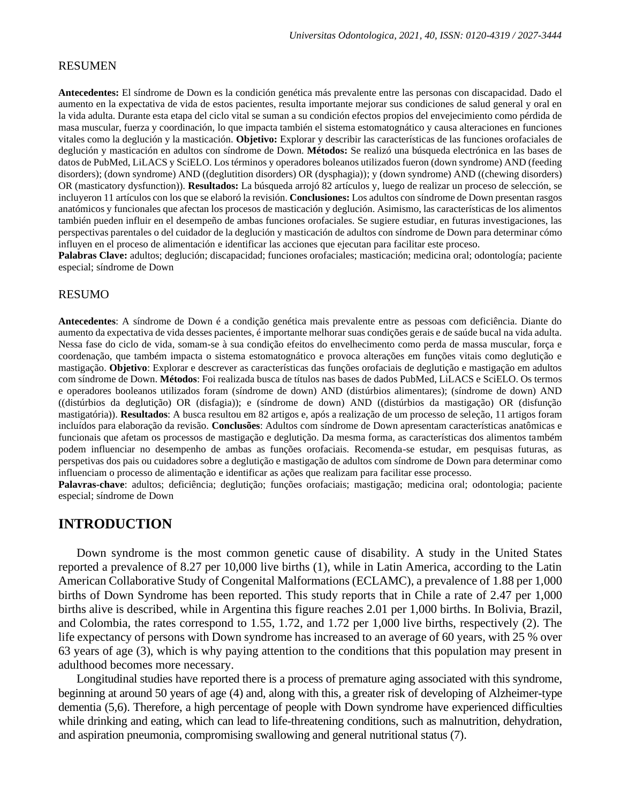#### RESUMEN

**Antecedentes:** El síndrome de Down es la condición genética más prevalente entre las personas con discapacidad. Dado el aumento en la expectativa de vida de estos pacientes, resulta importante mejorar sus condiciones de salud general y oral en la vida adulta. Durante esta etapa del ciclo vital se suman a su condición efectos propios del envejecimiento como pérdida de masa muscular, fuerza y coordinación, lo que impacta también el sistema estomatognático y causa alteraciones en funciones vitales como la deglución y la masticación. **Objetivo:** Explorar y describir las características de las funciones orofaciales de deglución y masticación en adultos con síndrome de Down. **Métodos:** Se realizó una búsqueda electrónica en las bases de datos de PubMed, LiLACS y SciELO. Los términos y operadores boleanos utilizados fueron (down syndrome) AND (feeding disorders); (down syndrome) AND ((deglutition disorders) OR (dysphagia)); y (down syndrome) AND ((chewing disorders) OR (masticatory dysfunction)). **Resultados:** La búsqueda arrojó 82 artículos y, luego de realizar un proceso de selección, se incluyeron 11 artículos con los que se elaboró la revisión. **Conclusiones:** Los adultos con síndrome de Down presentan rasgos anatómicos y funcionales que afectan los procesos de masticación y deglución. Asimismo, las características de los alimentos también pueden influir en el desempeño de ambas funciones orofaciales. Se sugiere estudiar, en futuras investigaciones, las perspectivas parentales o del cuidador de la deglución y masticación de adultos con síndrome de Down para determinar cómo influyen en el proceso de alimentación e identificar las acciones que ejecutan para facilitar este proceso.

**Palabras Clave:** adultos; deglución; discapacidad; funciones orofaciales; masticación; medicina oral; odontología; paciente especial; síndrome de Down

#### RESUMO

**Antecedentes**: A síndrome de Down é a condição genética mais prevalente entre as pessoas com deficiência. Diante do aumento da expectativa de vida desses pacientes, é importante melhorar suas condições gerais e de saúde bucal na vida adulta. Nessa fase do ciclo de vida, somam-se à sua condição efeitos do envelhecimento como perda de massa muscular, força e coordenação, que também impacta o sistema estomatognático e provoca alterações em funções vitais como deglutição e mastigação. **Objetivo**: Explorar e descrever as características das funções orofaciais de deglutição e mastigação em adultos com síndrome de Down. **Métodos**: Foi realizada busca de títulos nas bases de dados PubMed, LiLACS e SciELO. Os termos e operadores booleanos utilizados foram (síndrome de down) AND (distúrbios alimentares); (síndrome de down) AND ((distúrbios da deglutição) OR (disfagia)); e (síndrome de down) AND ((distúrbios da mastigação) OR (disfunção mastigatória)). **Resultados**: A busca resultou em 82 artigos e, após a realização de um processo de seleção, 11 artigos foram incluídos para elaboração da revisão. **Conclusões**: Adultos com síndrome de Down apresentam características anatômicas e funcionais que afetam os processos de mastigação e deglutição. Da mesma forma, as características dos alimentos também podem influenciar no desempenho de ambas as funções orofaciais. Recomenda-se estudar, em pesquisas futuras, as perspetivas dos pais ou cuidadores sobre a deglutição e mastigação de adultos com síndrome de Down para determinar como influenciam o processo de alimentação e identificar as ações que realizam para facilitar esse processo.

**Palavras-chave**: adultos; deficiência; deglutição; funções orofaciais; mastigação; medicina oral; odontologia; paciente especial; síndrome de Down

### **INTRODUCTION**

Down syndrome is the most common genetic cause of disability. A study in the United States reported a prevalence of 8.27 per 10,000 live births (1), while in Latin America, according to the Latin American Collaborative Study of Congenital Malformations (ECLAMC), a prevalence of 1.88 per 1,000 births of Down Syndrome has been reported. This study reports that in Chile a rate of 2.47 per 1,000 births alive is described, while in Argentina this figure reaches 2.01 per 1,000 births. In Bolivia, Brazil, and Colombia, the rates correspond to 1.55, 1.72, and 1.72 per 1,000 live births, respectively (2). The life expectancy of persons with Down syndrome has increased to an average of 60 years, with 25 % over 63 years of age (3), which is why paying attention to the conditions that this population may present in adulthood becomes more necessary.

Longitudinal studies have reported there is a process of premature aging associated with this syndrome, beginning at around 50 years of age (4) and, along with this, a greater risk of developing of Alzheimer-type dementia (5,6). Therefore, a high percentage of people with Down syndrome have experienced difficulties while drinking and eating, which can lead to life-threatening conditions, such as malnutrition, dehydration, and aspiration pneumonia, compromising swallowing and general nutritional status (7).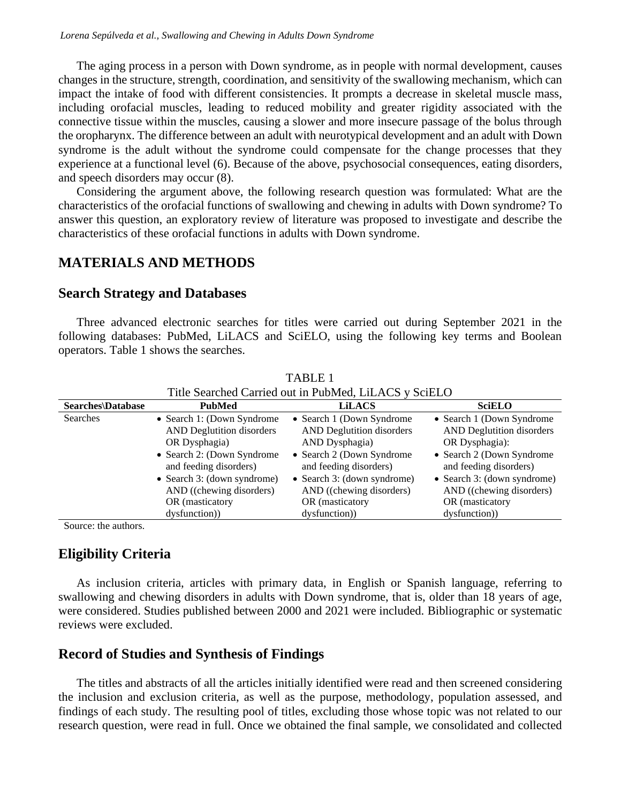The aging process in a person with Down syndrome, as in people with normal development, causes changes in the structure, strength, coordination, and sensitivity of the swallowing mechanism, which can impact the intake of food with different consistencies. It prompts a decrease in skeletal muscle mass, including orofacial muscles, leading to reduced mobility and greater rigidity associated with the connective tissue within the muscles, causing a slower and more insecure passage of the bolus through the oropharynx. The difference between an adult with neurotypical development and an adult with Down syndrome is the adult without the syndrome could compensate for the change processes that they experience at a functional level (6). Because of the above, psychosocial consequences, eating disorders, and speech disorders may occur (8).

Considering the argument above, the following research question was formulated: What are the characteristics of the orofacial functions of swallowing and chewing in adults with Down syndrome? To answer this question, an exploratory review of literature was proposed to investigate and describe the characteristics of these orofacial functions in adults with Down syndrome.

# **MATERIALS AND METHODS**

### **Search Strategy and Databases**

Three advanced electronic searches for titles were carried out during September 2021 in the following databases: PubMed, LiLACS and SciELO, using the following key terms and Boolean operators. Table 1 shows the searches.

| THE SCALLICU CALLICU OUL III I UDIVICU, LILACS Y SCILLO |                                  |                                  |                                  |
|---------------------------------------------------------|----------------------------------|----------------------------------|----------------------------------|
| <b>Searches</b> Database                                | <b>PubMed</b>                    | <b>LiLACS</b>                    | <b>SciELO</b>                    |
| <b>Searches</b>                                         | • Search 1: (Down Syndrome)      | • Search 1 (Down Syndrome)       | • Search 1 (Down Syndrome)       |
|                                                         | <b>AND Deglutition disorders</b> | <b>AND Deglutition disorders</b> | <b>AND Deglutition disorders</b> |
|                                                         | OR Dysphagia)                    | AND Dysphagia)                   | OR Dysphagia):                   |
|                                                         | • Search 2: (Down Syndrome)      | • Search 2 (Down Syndrome)       | • Search 2 (Down Syndrome        |
|                                                         | and feeding disorders)           | and feeding disorders)           | and feeding disorders)           |
|                                                         | • Search 3: (down syndrome)      | • Search 3: (down syndrome)      | • Search 3: (down syndrome)      |
|                                                         | AND ((chewing disorders)         | AND ((chewing disorders)         | AND ((chewing disorders)         |
|                                                         | OR (masticatory                  | OR (masticatory                  | OR (masticatory                  |
|                                                         | dysfunction)                     | dysfunction)                     | dysfunction)                     |

TABLE 1 Title Searched Carried out in PubMed, LiLACS y SciELO

Source: the authors.

## **Eligibility Criteria**

As inclusion criteria, articles with primary data, in English or Spanish language, referring to swallowing and chewing disorders in adults with Down syndrome, that is, older than 18 years of age, were considered. Studies published between 2000 and 2021 were included. Bibliographic or systematic reviews were excluded.

## **Record of Studies and Synthesis of Findings**

The titles and abstracts of all the articles initially identified were read and then screened considering the inclusion and exclusion criteria, as well as the purpose, methodology, population assessed, and findings of each study. The resulting pool of titles, excluding those whose topic was not related to our research question, were read in full. Once we obtained the final sample, we consolidated and collected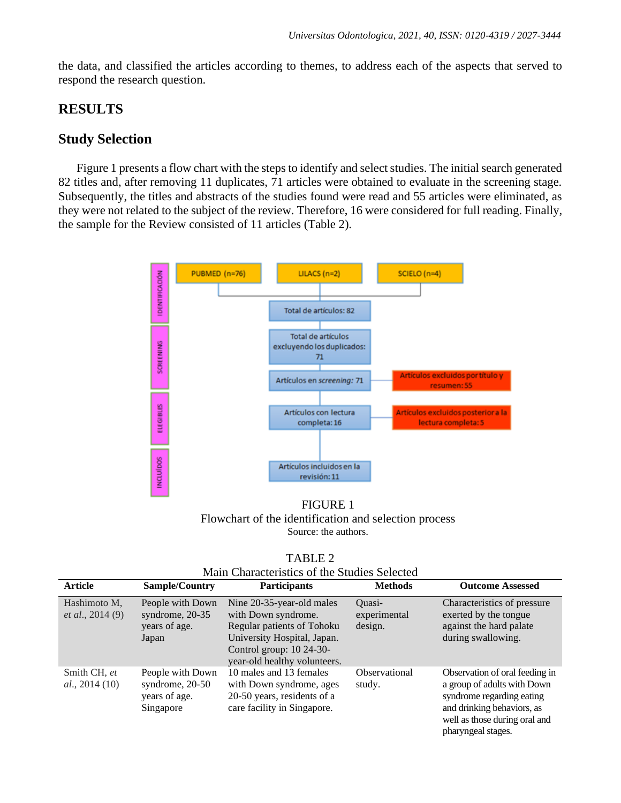the data, and classified the articles according to themes, to address each of the aspects that served to respond the research question.

## **RESULTS**

### **Study Selection**

Figure 1 presents a flow chart with the steps to identify and select studies. The initial search generated 82 titles and, after removing 11 duplicates, 71 articles were obtained to evaluate in the screening stage. Subsequently, the titles and abstracts of the studies found were read and 55 articles were eliminated, as they were not related to the subject of the review. Therefore, 16 were considered for full reading. Finally, the sample for the Review consisted of 11 articles (Table 2).



FIGURE 1 Flowchart of the identification and selection process Source: the authors.

| - 1 |  |
|-----|--|
|-----|--|

| <b>Article</b>                            | <b>Sample/Country</b>                                             | <b>Participants</b>                                                                                                                                                         | <b>Methods</b>                    | <b>Outcome Assessed</b>                                                                                                                                                         |
|-------------------------------------------|-------------------------------------------------------------------|-----------------------------------------------------------------------------------------------------------------------------------------------------------------------------|-----------------------------------|---------------------------------------------------------------------------------------------------------------------------------------------------------------------------------|
| Hashimoto M,<br><i>et al.</i> , $2014(9)$ | People with Down<br>syndrome, 20-35<br>years of age.<br>Japan     | Nine 20-35-year-old males<br>with Down syndrome.<br>Regular patients of Tohoku<br>University Hospital, Japan.<br>Control group: $10\,24-30$<br>year-old healthy volunteers. | Ouasi-<br>experimental<br>design. | Characteristics of pressure<br>exerted by the tongue<br>against the hard palate<br>during swallowing.                                                                           |
| Smith CH, et<br>al., 2014(10)             | People with Down<br>syndrome, 20-50<br>years of age.<br>Singapore | 10 males and 13 females<br>with Down syndrome, ages<br>20-50 years, residents of a<br>care facility in Singapore.                                                           | Observational<br>study.           | Observation of oral feeding in<br>a group of adults with Down<br>syndrome regarding eating<br>and drinking behaviors, as<br>well as those during oral and<br>pharyngeal stages. |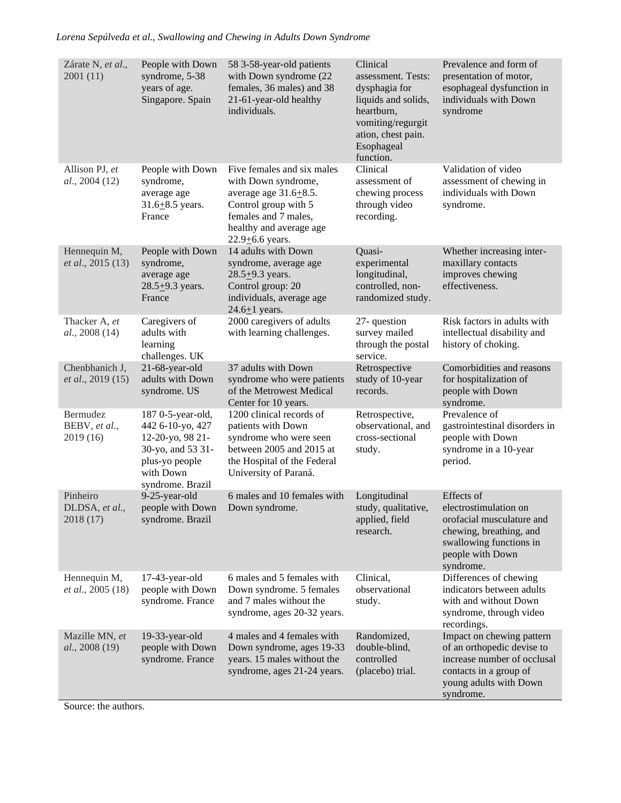*Lorena Sepúlveda et al., Swallowing and Chewing in Adults Down Syndrome*

| Zárate N, et al.,<br>2001 (11)          | People with Down<br>syndrome, 5-38<br>years of age.<br>Singapore. Spain                                                           | 58 3-58-year-old patients<br>with Down syndrome (22<br>females, 36 males) and 38<br>21-61-year-old healthy<br>individuals.                                                          | Clinical<br>assessment. Tests:<br>dysphagia for<br>liquids and solids,<br>heartburn,<br>vomiting/regurgit<br>ation, chest pain.<br>Esophageal<br>function. | Prevalence and form of<br>presentation of motor,<br>esophageal dysfunction in<br>individuals with Down<br>syndrome                                      |
|-----------------------------------------|-----------------------------------------------------------------------------------------------------------------------------------|-------------------------------------------------------------------------------------------------------------------------------------------------------------------------------------|------------------------------------------------------------------------------------------------------------------------------------------------------------|---------------------------------------------------------------------------------------------------------------------------------------------------------|
| Allison PJ, et<br>al., 2004(12)         | People with Down<br>syndrome,<br>average age<br>$31.6 + 8.5$ years.<br>France                                                     | Five females and six males<br>with Down syndrome,<br>average age $31.6 \pm 8.5$ .<br>Control group with 5<br>females and 7 males,<br>healthy and average age<br>$22.9 + 6.6$ years. | Clinical<br>assessment of<br>chewing process<br>through video<br>recording.                                                                                | Validation of video<br>assessment of chewing in<br>individuals with Down<br>syndrome.                                                                   |
| Hennequin M,<br>et al., 2015 (13)       | People with Down<br>syndrome,<br>average age<br>$28.5 + 9.3$ years.<br>France                                                     | 14 adults with Down<br>syndrome, average age<br>$28.5 + 9.3$ years.<br>Control group: 20<br>individuals, average age<br>$24.6 \pm 1$ years.                                         | Quasi-<br>experimental<br>longitudinal,<br>controlled, non-<br>randomized study.                                                                           | Whether increasing inter-<br>maxillary contacts<br>improves chewing<br>effectiveness.                                                                   |
| Thacker A, et<br>al., 2008 (14)         | Caregivers of<br>adults with<br>learning<br>challenges. UK                                                                        | 2000 caregivers of adults<br>with learning challenges.                                                                                                                              | 27-question<br>survey mailed<br>through the postal<br>service.                                                                                             | Risk factors in adults with<br>intellectual disability and<br>history of choking.                                                                       |
| Chenbhanich J,<br>et al., 2019 (15)     | 21-68-year-old<br>adults with Down<br>syndrome. US                                                                                | 37 adults with Down<br>syndrome who were patients<br>of the Metrowest Medical<br>Center for 10 years.                                                                               | Retrospective<br>study of 10-year<br>records.                                                                                                              | Comorbidities and reasons<br>for hospitalization of<br>people with Down<br>syndrome.                                                                    |
| Bermudez<br>BEBV, et al.,<br>2019 (16)  | 187 0-5-year-old,<br>442 6-10-yo, 427<br>12-20-yo, 98 21-<br>30-yo, and 53 31-<br>plus-yo people<br>with Down<br>syndrome. Brazil | 1200 clinical records of<br>patients with Down<br>syndrome who were seen<br>between 2005 and 2015 at<br>the Hospital of the Federal<br>University of Paraná.                        | Retrospective,<br>observational, and<br>cross-sectional<br>study.                                                                                          | Prevalence of<br>gastrointestinal disorders in<br>people with Down<br>syndrome in a 10-year<br>period.                                                  |
| Pinheiro<br>DLDSA, et al.,<br>2018 (17) | 9-25-year-old<br>people with Down Down syndrome.<br>syndrome. Brazil                                                              | 6 males and 10 females with                                                                                                                                                         | Longitudinal<br>study, qualitative,<br>applied, field<br>research.                                                                                         | Effects of<br>electrostimulation on<br>orofacial musculature and<br>chewing, breathing, and<br>swallowing functions in<br>people with Down<br>syndrome. |
| Hennequin M,<br>et al., 2005 (18)       | 17-43-year-old<br>people with Down<br>syndrome. France                                                                            | 6 males and 5 females with<br>Down syndrome. 5 females<br>and 7 males without the<br>syndrome, ages 20-32 years.                                                                    | Clinical,<br>observational<br>study.                                                                                                                       | Differences of chewing<br>indicators between adults<br>with and without Down<br>syndrome, through video<br>recordings.                                  |
| Mazille MN, et<br>al., 2008 (19)        | 19-33-year-old<br>people with Down<br>syndrome. France                                                                            | 4 males and 4 females with<br>Down syndrome, ages 19-33<br>years. 15 males without the<br>syndrome, ages 21-24 years.                                                               | Randomized,<br>double-blind,<br>controlled<br>(placebo) trial.                                                                                             | Impact on chewing pattern<br>of an orthopedic devise to<br>increase number of occlusal<br>contacts in a group of<br>young adults with Down<br>syndrome. |

Source: the authors.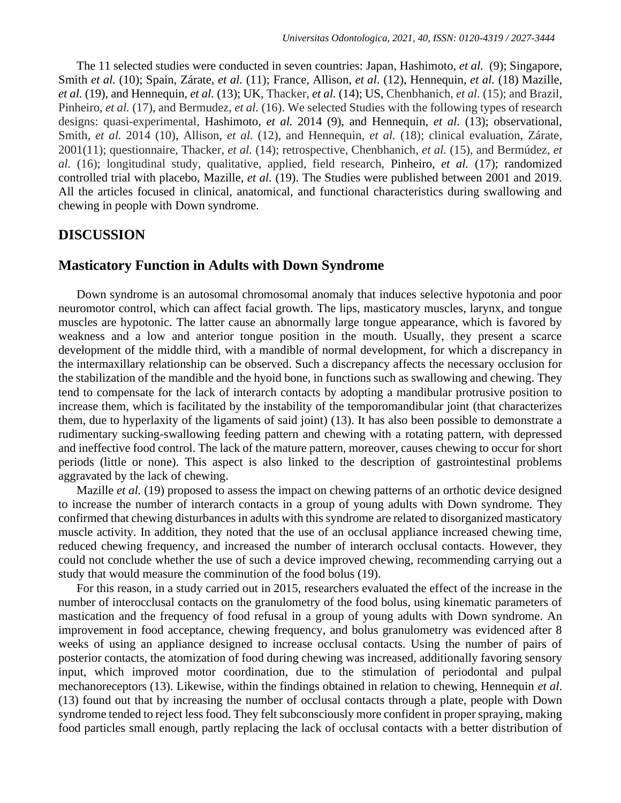The 11 selected studies were conducted in seven countries: Japan, Hashimoto, *et al.* (9); Singapore, Smith *et al.* (10); Spain, Zárate, *et al.* (11); France, Allison, *et al*. (12), Hennequin, *et al.* (18) Mazille, *et al.* (19), and Hennequin, *et al.* (13); UK, Thacker, *et al.* (14); US, Chenbhanich, *et al.* (15); and Brazil, Pinheiro, *et al.* (17), and Bermudez, *et al.* (16). We selected Studies with the following types of research designs: quasi-experimental, Hashimoto, *et al.* 2014 (9), and Hennequin, *et al.* (13); observational, Smith, *et al.* 2014 (10), Allison, *et al.* (12), and Hennequin, *et al.* (18); clinical evaluation, Zárate, 2001(11); questionnaire, Thacker, *et al.* (14); retrospective, Chenbhanich, *et al.* (15), and Bermúdez, *et al.* (16); longitudinal study, qualitative, applied, field research, Pinheiro, *et al.* (17); randomized controlled trial with placebo, Mazille, *et al.* (19). The Studies were published between 2001 and 2019. All the articles focused in clinical, anatomical, and functional characteristics during swallowing and chewing in people with Down syndrome.

### **DISCUSSION**

#### **Masticatory Function in Adults with Down Syndrome**

Down syndrome is an autosomal chromosomal anomaly that induces selective hypotonia and poor neuromotor control, which can affect facial growth. The lips, masticatory muscles, larynx, and tongue muscles are hypotonic. The latter cause an abnormally large tongue appearance, which is favored by weakness and a low and anterior tongue position in the mouth. Usually, they present a scarce development of the middle third, with a mandible of normal development, for which a discrepancy in the intermaxillary relationship can be observed. Such a discrepancy affects the necessary occlusion for the stabilization of the mandible and the hyoid bone, in functions such as swallowing and chewing. They tend to compensate for the lack of interarch contacts by adopting a mandibular protrusive position to increase them, which is facilitated by the instability of the temporomandibular joint (that characterizes them, due to hyperlaxity of the ligaments of said joint) (13). It has also been possible to demonstrate a rudimentary sucking-swallowing feeding pattern and chewing with a rotating pattern, with depressed and ineffective food control. The lack of the mature pattern, moreover, causes chewing to occur for short periods (little or none). This aspect is also linked to the description of gastrointestinal problems aggravated by the lack of chewing.

Mazille *et al.* (19) proposed to assess the impact on chewing patterns of an orthotic device designed to increase the number of interarch contacts in a group of young adults with Down syndrome. They confirmed that chewing disturbances in adults with this syndrome are related to disorganized masticatory muscle activity. In addition, they noted that the use of an occlusal appliance increased chewing time, reduced chewing frequency, and increased the number of interarch occlusal contacts. However, they could not conclude whether the use of such a device improved chewing, recommending carrying out a study that would measure the comminution of the food bolus (19).

For this reason, in a study carried out in 2015, researchers evaluated the effect of the increase in the number of interocclusal contacts on the granulometry of the food bolus, using kinematic parameters of mastication and the frequency of food refusal in a group of young adults with Down syndrome. An improvement in food acceptance, chewing frequency, and bolus granulometry was evidenced after 8 weeks of using an appliance designed to increase occlusal contacts. Using the number of pairs of posterior contacts, the atomization of food during chewing was increased, additionally favoring sensory input, which improved motor coordination, due to the stimulation of periodontal and pulpal mechanoreceptors (13). Likewise, within the findings obtained in relation to chewing, Hennequin *et al*. (13) found out that by increasing the number of occlusal contacts through a plate, people with Down syndrome tended to reject less food. They felt subconsciously more confident in proper spraying, making food particles small enough, partly replacing the lack of occlusal contacts with a better distribution of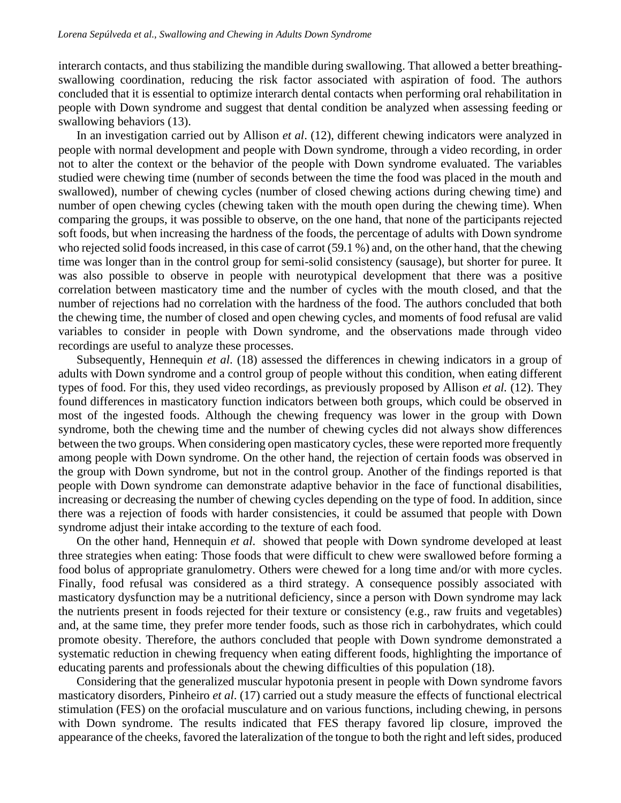interarch contacts, and thus stabilizing the mandible during swallowing. That allowed a better breathingswallowing coordination, reducing the risk factor associated with aspiration of food. The authors concluded that it is essential to optimize interarch dental contacts when performing oral rehabilitation in people with Down syndrome and suggest that dental condition be analyzed when assessing feeding or swallowing behaviors (13).

In an investigation carried out by Allison *et al*. (12), different chewing indicators were analyzed in people with normal development and people with Down syndrome, through a video recording, in order not to alter the context or the behavior of the people with Down syndrome evaluated. The variables studied were chewing time (number of seconds between the time the food was placed in the mouth and swallowed), number of chewing cycles (number of closed chewing actions during chewing time) and number of open chewing cycles (chewing taken with the mouth open during the chewing time). When comparing the groups, it was possible to observe, on the one hand, that none of the participants rejected soft foods, but when increasing the hardness of the foods, the percentage of adults with Down syndrome who rejected solid foods increased, in this case of carrot (59.1 %) and, on the other hand, that the chewing time was longer than in the control group for semi-solid consistency (sausage), but shorter for puree. It was also possible to observe in people with neurotypical development that there was a positive correlation between masticatory time and the number of cycles with the mouth closed, and that the number of rejections had no correlation with the hardness of the food. The authors concluded that both the chewing time, the number of closed and open chewing cycles, and moments of food refusal are valid variables to consider in people with Down syndrome, and the observations made through video recordings are useful to analyze these processes.

Subsequently, Hennequin *et al*. (18) assessed the differences in chewing indicators in a group of adults with Down syndrome and a control group of people without this condition, when eating different types of food. For this, they used video recordings, as previously proposed by Allison *et al.* (12). They found differences in masticatory function indicators between both groups, which could be observed in most of the ingested foods. Although the chewing frequency was lower in the group with Down syndrome, both the chewing time and the number of chewing cycles did not always show differences between the two groups. When considering open masticatory cycles, these were reported more frequently among people with Down syndrome. On the other hand, the rejection of certain foods was observed in the group with Down syndrome, but not in the control group. Another of the findings reported is that people with Down syndrome can demonstrate adaptive behavior in the face of functional disabilities, increasing or decreasing the number of chewing cycles depending on the type of food. In addition, since there was a rejection of foods with harder consistencies, it could be assumed that people with Down syndrome adjust their intake according to the texture of each food.

On the other hand, Hennequin *et al*. showed that people with Down syndrome developed at least three strategies when eating: Those foods that were difficult to chew were swallowed before forming a food bolus of appropriate granulometry. Others were chewed for a long time and/or with more cycles. Finally, food refusal was considered as a third strategy. A consequence possibly associated with masticatory dysfunction may be a nutritional deficiency, since a person with Down syndrome may lack the nutrients present in foods rejected for their texture or consistency (e.g., raw fruits and vegetables) and, at the same time, they prefer more tender foods, such as those rich in carbohydrates, which could promote obesity. Therefore, the authors concluded that people with Down syndrome demonstrated a systematic reduction in chewing frequency when eating different foods, highlighting the importance of educating parents and professionals about the chewing difficulties of this population (18).

Considering that the generalized muscular hypotonia present in people with Down syndrome favors masticatory disorders, Pinheiro *et al*. (17) carried out a study measure the effects of functional electrical stimulation (FES) on the orofacial musculature and on various functions, including chewing, in persons with Down syndrome. The results indicated that FES therapy favored lip closure, improved the appearance of the cheeks, favored the lateralization of the tongue to both the right and left sides, produced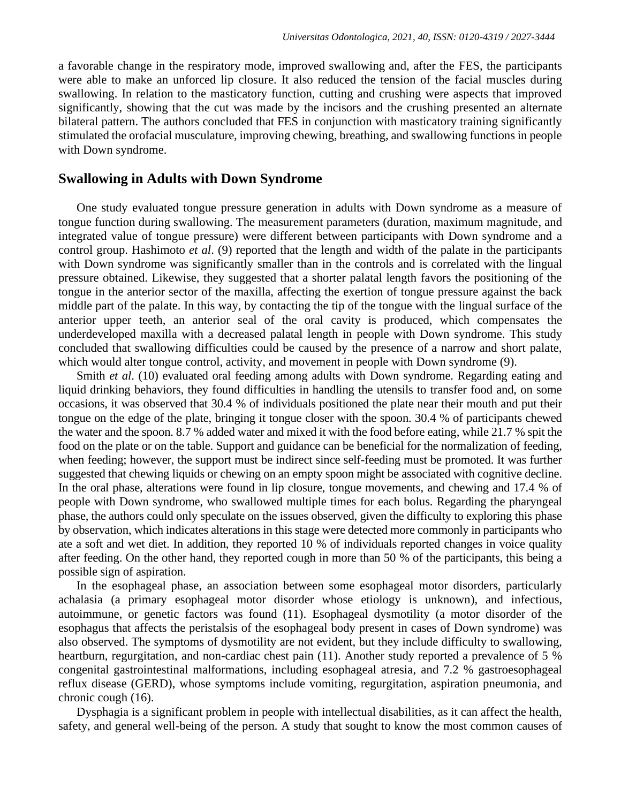a favorable change in the respiratory mode, improved swallowing and, after the FES, the participants were able to make an unforced lip closure. It also reduced the tension of the facial muscles during swallowing. In relation to the masticatory function, cutting and crushing were aspects that improved significantly, showing that the cut was made by the incisors and the crushing presented an alternate bilateral pattern. The authors concluded that FES in conjunction with masticatory training significantly stimulated the orofacial musculature, improving chewing, breathing, and swallowing functions in people with Down syndrome.

#### **Swallowing in Adults with Down Syndrome**

One study evaluated tongue pressure generation in adults with Down syndrome as a measure of tongue function during swallowing. The measurement parameters (duration, maximum magnitude, and integrated value of tongue pressure) were different between participants with Down syndrome and a control group. Hashimoto *et al*. (9) reported that the length and width of the palate in the participants with Down syndrome was significantly smaller than in the controls and is correlated with the lingual pressure obtained. Likewise, they suggested that a shorter palatal length favors the positioning of the tongue in the anterior sector of the maxilla, affecting the exertion of tongue pressure against the back middle part of the palate. In this way, by contacting the tip of the tongue with the lingual surface of the anterior upper teeth, an anterior seal of the oral cavity is produced, which compensates the underdeveloped maxilla with a decreased palatal length in people with Down syndrome. This study concluded that swallowing difficulties could be caused by the presence of a narrow and short palate, which would alter tongue control, activity, and movement in people with Down syndrome (9).

Smith *et al*. (10) evaluated oral feeding among adults with Down syndrome. Regarding eating and liquid drinking behaviors, they found difficulties in handling the utensils to transfer food and, on some occasions, it was observed that 30.4 % of individuals positioned the plate near their mouth and put their tongue on the edge of the plate, bringing it tongue closer with the spoon. 30.4 % of participants chewed the water and the spoon. 8.7 % added water and mixed it with the food before eating, while 21.7 % spit the food on the plate or on the table. Support and guidance can be beneficial for the normalization of feeding, when feeding; however, the support must be indirect since self-feeding must be promoted. It was further suggested that chewing liquids or chewing on an empty spoon might be associated with cognitive decline. In the oral phase, alterations were found in lip closure, tongue movements, and chewing and 17.4 % of people with Down syndrome, who swallowed multiple times for each bolus. Regarding the pharyngeal phase, the authors could only speculate on the issues observed, given the difficulty to exploring this phase by observation, which indicates alterations in this stage were detected more commonly in participants who ate a soft and wet diet. In addition, they reported 10 % of individuals reported changes in voice quality after feeding. On the other hand, they reported cough in more than 50 % of the participants, this being a possible sign of aspiration.

In the esophageal phase, an association between some esophageal motor disorders, particularly achalasia (a primary esophageal motor disorder whose etiology is unknown), and infectious, autoimmune, or genetic factors was found (11). Esophageal dysmotility (a motor disorder of the esophagus that affects the peristalsis of the esophageal body present in cases of Down syndrome) was also observed. The symptoms of dysmotility are not evident, but they include difficulty to swallowing, heartburn, regurgitation, and non-cardiac chest pain (11). Another study reported a prevalence of 5 % congenital gastrointestinal malformations, including esophageal atresia, and 7.2 % gastroesophageal reflux disease (GERD), whose symptoms include vomiting, regurgitation, aspiration pneumonia, and chronic cough (16).

Dysphagia is a significant problem in people with intellectual disabilities, as it can affect the health, safety, and general well-being of the person. A study that sought to know the most common causes of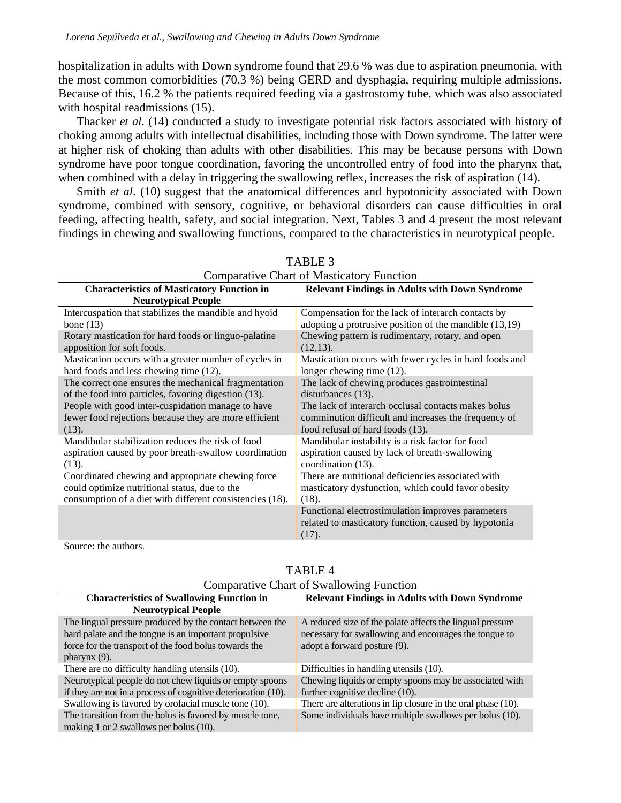hospitalization in adults with Down syndrome found that 29.6 % was due to aspiration pneumonia, with the most common comorbidities (70.3 %) being GERD and dysphagia, requiring multiple admissions. Because of this, 16.2 % the patients required feeding via a gastrostomy tube, which was also associated with hospital readmissions  $(15)$ .

Thacker *et al*. (14) conducted a study to investigate potential risk factors associated with history of choking among adults with intellectual disabilities, including those with Down syndrome. The latter were at higher risk of choking than adults with other disabilities. This may be because persons with Down syndrome have poor tongue coordination, favoring the uncontrolled entry of food into the pharynx that, when combined with a delay in triggering the swallowing reflex, increases the risk of aspiration (14).

Smith *et al*. (10) suggest that the anatomical differences and hypotonicity associated with Down syndrome, combined with sensory, cognitive, or behavioral disorders can cause difficulties in oral feeding, affecting health, safety, and social integration. Next, Tables 3 and 4 present the most relevant findings in chewing and swallowing functions, compared to the characteristics in neurotypical people.

| <b>Comparative Chart of Masticatory Function</b>                                |                                                                                                                    |  |
|---------------------------------------------------------------------------------|--------------------------------------------------------------------------------------------------------------------|--|
| <b>Characteristics of Masticatory Function in</b><br><b>Neurotypical People</b> | <b>Relevant Findings in Adults with Down Syndrome</b>                                                              |  |
| Intercuspation that stabilizes the mandible and hyoid                           | Compensation for the lack of interarch contacts by                                                                 |  |
| bone $(13)$                                                                     | adopting a protrusive position of the mandible $(13,19)$                                                           |  |
| Rotary mastication for hard foods or linguo-palatine                            | Chewing pattern is rudimentary, rotary, and open                                                                   |  |
| apposition for soft foods.                                                      | (12,13).                                                                                                           |  |
| Mastication occurs with a greater number of cycles in                           | Mastication occurs with fewer cycles in hard foods and                                                             |  |
| hard foods and less chewing time (12).                                          | longer chewing time (12).                                                                                          |  |
| The correct one ensures the mechanical fragmentation                            | The lack of chewing produces gastrointestinal                                                                      |  |
| of the food into particles, favoring digestion (13).                            | disturbances (13).                                                                                                 |  |
| People with good inter-cuspidation manage to have                               | The lack of interarch occlusal contacts makes bolus                                                                |  |
| fewer food rejections because they are more efficient                           | comminution difficult and increases the frequency of                                                               |  |
| (13).                                                                           | food refusal of hard foods (13).                                                                                   |  |
| Mandibular stabilization reduces the risk of food                               | Mandibular instability is a risk factor for food                                                                   |  |
| aspiration caused by poor breath-swallow coordination                           | aspiration caused by lack of breath-swallowing                                                                     |  |
| (13).                                                                           | coordination (13).                                                                                                 |  |
| Coordinated chewing and appropriate chewing force                               | There are nutritional deficiencies associated with                                                                 |  |
| could optimize nutritional status, due to the                                   | masticatory dysfunction, which could favor obesity                                                                 |  |
| consumption of a diet with different consistencies (18).                        | $(18)$ .                                                                                                           |  |
| $\sim$ 1                                                                        | Functional electrostimulation improves parameters<br>related to masticatory function, caused by hypotonia<br>(17). |  |

| TABLE 3                          |  |
|----------------------------------|--|
| peretive Chert of Meeticatery Eu |  |

Source: the authors.

| <b>Comparative Chart of Swallowing Function</b>               |                                                              |  |
|---------------------------------------------------------------|--------------------------------------------------------------|--|
| <b>Characteristics of Swallowing Function in</b>              | <b>Relevant Findings in Adults with Down Syndrome</b>        |  |
| <b>Neurotypical People</b>                                    |                                                              |  |
| The lingual pressure produced by the contact between the      | A reduced size of the palate affects the lingual pressure    |  |
| hard palate and the tongue is an important propulsive         | necessary for swallowing and encourages the tongue to        |  |
| force for the transport of the food bolus towards the         | adopt a forward posture (9).                                 |  |
| pharynx $(9)$ .                                               |                                                              |  |
| There are no difficulty handling utensils (10).               | Difficulties in handling utensils (10).                      |  |
| Neurotypical people do not chew liquids or empty spoons       | Chewing liquids or empty spoons may be associated with       |  |
| if they are not in a process of cognitive deterioration (10). | further cognitive decline (10).                              |  |
| Swallowing is favored by orofacial muscle tone (10).          | There are alterations in lip closure in the oral phase (10). |  |
| The transition from the bolus is favored by muscle tone,      | Some individuals have multiple swallows per bolus (10).      |  |
| making 1 or 2 swallows per bolus $(10)$ .                     |                                                              |  |

### TABLE 4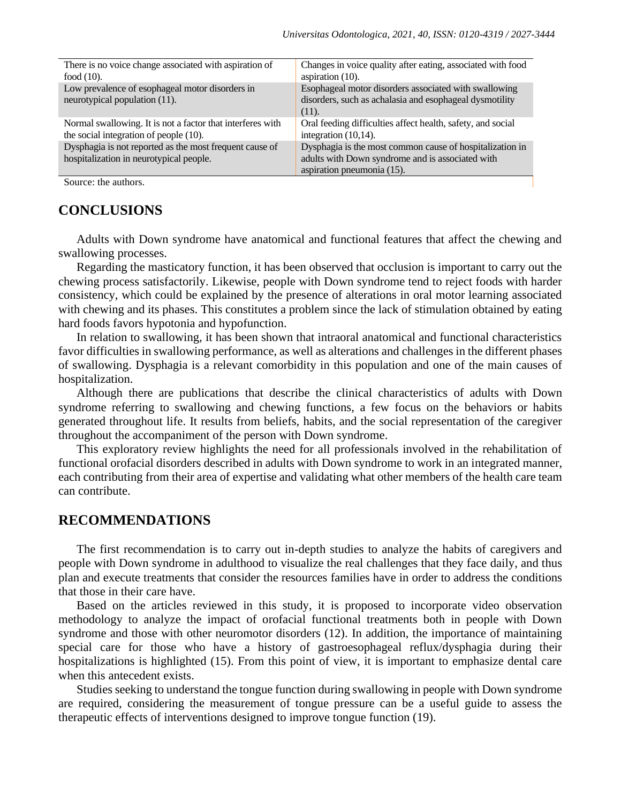| There is no voice change associated with aspiration of     | Changes in voice quality after eating, associated with food |
|------------------------------------------------------------|-------------------------------------------------------------|
| food $(10)$ .                                              | aspiration $(10)$ .                                         |
| Low prevalence of esophageal motor disorders in            | Esophageal motor disorders associated with swallowing       |
| neurotypical population (11).                              | disorders, such as achalasia and esophageal dysmotility     |
|                                                            | $(11)$ .                                                    |
| Normal swallowing. It is not a factor that interferes with | Oral feeding difficulties affect health, safety, and social |
| the social integration of people (10).                     | integration $(10,14)$ .                                     |
| Dysphagia is not reported as the most frequent cause of    | Dysphagia is the most common cause of hospitalization in    |
| hospitalization in neurotypical people.                    | adults with Down syndrome and is associated with            |
|                                                            | aspiration pneumonia (15).                                  |
| Source: the authors.                                       |                                                             |

Source: the authors.

### **CONCLUSIONS**

Adults with Down syndrome have anatomical and functional features that affect the chewing and swallowing processes.

Regarding the masticatory function, it has been observed that occlusion is important to carry out the chewing process satisfactorily. Likewise, people with Down syndrome tend to reject foods with harder consistency, which could be explained by the presence of alterations in oral motor learning associated with chewing and its phases. This constitutes a problem since the lack of stimulation obtained by eating hard foods favors hypotonia and hypofunction.

In relation to swallowing, it has been shown that intraoral anatomical and functional characteristics favor difficulties in swallowing performance, as well as alterations and challenges in the different phases of swallowing. Dysphagia is a relevant comorbidity in this population and one of the main causes of hospitalization.

Although there are publications that describe the clinical characteristics of adults with Down syndrome referring to swallowing and chewing functions, a few focus on the behaviors or habits generated throughout life. It results from beliefs, habits, and the social representation of the caregiver throughout the accompaniment of the person with Down syndrome.

This exploratory review highlights the need for all professionals involved in the rehabilitation of functional orofacial disorders described in adults with Down syndrome to work in an integrated manner, each contributing from their area of expertise and validating what other members of the health care team can contribute.

### **RECOMMENDATIONS**

The first recommendation is to carry out in-depth studies to analyze the habits of caregivers and people with Down syndrome in adulthood to visualize the real challenges that they face daily, and thus plan and execute treatments that consider the resources families have in order to address the conditions that those in their care have.

Based on the articles reviewed in this study, it is proposed to incorporate video observation methodology to analyze the impact of orofacial functional treatments both in people with Down syndrome and those with other neuromotor disorders (12). In addition, the importance of maintaining special care for those who have a history of gastroesophageal reflux/dysphagia during their hospitalizations is highlighted (15). From this point of view, it is important to emphasize dental care when this antecedent exists.

Studies seeking to understand the tongue function during swallowing in people with Down syndrome are required, considering the measurement of tongue pressure can be a useful guide to assess the therapeutic effects of interventions designed to improve tongue function (19).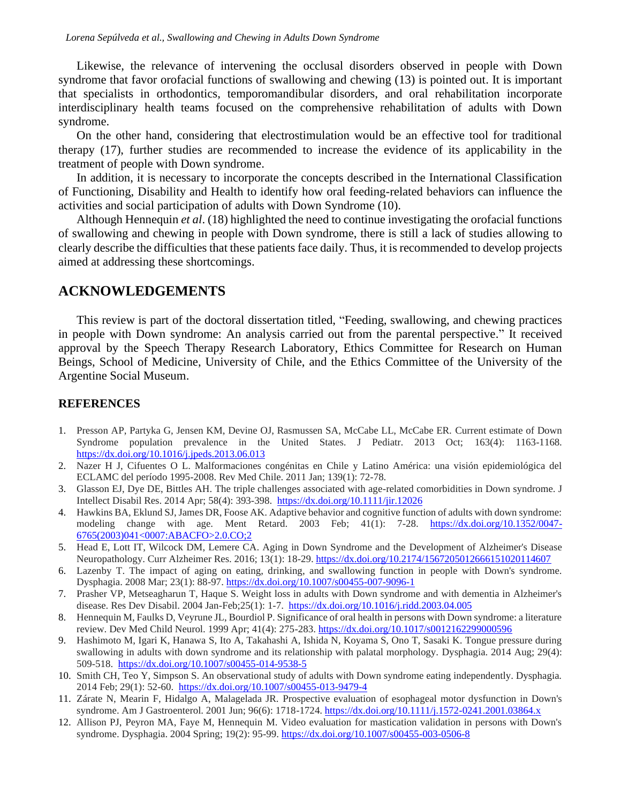Likewise, the relevance of intervening the occlusal disorders observed in people with Down syndrome that favor orofacial functions of swallowing and chewing (13) is pointed out. It is important that specialists in orthodontics, temporomandibular disorders, and oral rehabilitation incorporate interdisciplinary health teams focused on the comprehensive rehabilitation of adults with Down syndrome.

On the other hand, considering that electrostimulation would be an effective tool for traditional therapy (17), further studies are recommended to increase the evidence of its applicability in the treatment of people with Down syndrome.

In addition, it is necessary to incorporate the concepts described in the International Classification of Functioning, Disability and Health to identify how oral feeding-related behaviors can influence the activities and social participation of adults with Down Syndrome (10).

Although Hennequin *et al*. (18) highlighted the need to continue investigating the orofacial functions of swallowing and chewing in people with Down syndrome, there is still a lack of studies allowing to clearly describe the difficulties that these patients face daily. Thus, it is recommended to develop projects aimed at addressing these shortcomings.

### **ACKNOWLEDGEMENTS**

This review is part of the doctoral dissertation titled, "Feeding, swallowing, and chewing practices in people with Down syndrome: An analysis carried out from the parental perspective." It received approval by the Speech Therapy Research Laboratory, Ethics Committee for Research on Human Beings, School of Medicine, University of Chile, and the Ethics Committee of the University of the Argentine Social Museum.

#### **REFERENCES**

- 1. Presson AP, Partyka G, Jensen KM, Devine OJ, Rasmussen SA, McCabe LL, McCabe ER. Current estimate of Down Syndrome population prevalence in the United States. J Pediatr. 2013 Oct; 163(4): 1163-1168. <https://dx.doi.org/10.1016/j.jpeds.2013.06.013>
- 2. Nazer H J, Cifuentes O L. Malformaciones congénitas en Chile y Latino América: una visión epidemiológica del ECLAMC del período 1995-2008. Rev Med Chile. 2011 Jan; 139(1): 72-78.
- 3. Glasson EJ, Dye DE, Bittles AH. The triple challenges associated with age-related comorbidities in Down syndrome. J Intellect Disabil Res. 2014 Apr; 58(4): 393-398. <https://dx.doi.org/10.1111/jir.12026>
- 4. Hawkins BA, Eklund SJ, James DR, Foose AK. Adaptive behavior and cognitive function of adults with down syndrome: modeling change with age. Ment Retard. 2003 Feb; 41(1): 7-28. [https://dx.doi.org/10.1352/0047-](https://dx.doi.org/10.1352/0047-6765(2003)041%3c0007:ABACFO%3e2.0.CO;2) [6765\(2003\)041<0007:ABACFO>2.0.CO;2](https://dx.doi.org/10.1352/0047-6765(2003)041%3c0007:ABACFO%3e2.0.CO;2)
- 5. Head E, Lott IT, Wilcock DM, Lemere CA. Aging in Down Syndrome and the Development of Alzheimer's Disease Neuropathology. Curr Alzheimer Res. 2016; 13(1): 18-29[. https://dx.doi.org/10.2174/1567205012666151020114607](https://dx.doi.org/10.2174/1567205012666151020114607)
- 6. Lazenby T. The impact of aging on eating, drinking, and swallowing function in people with Down's syndrome. Dysphagia. 2008 Mar; 23(1): 88-97.<https://dx.doi.org/10.1007/s00455-007-9096-1>
- 7. Prasher VP, Metseagharun T, Haque S. Weight loss in adults with Down syndrome and with dementia in Alzheimer's disease. Res Dev Disabil. 2004 Jan-Feb; 25(1): 1-7.<https://dx.doi.org/10.1016/j.ridd.2003.04.005>
- 8. Hennequin M, Faulks D, Veyrune JL, Bourdiol P. Significance of oral health in persons with Down syndrome: a literature review. Dev Med Child Neurol. 1999 Apr; 41(4): 275-283.<https://dx.doi.org/10.1017/s0012162299000596>
- 9. Hashimoto M, Igari K, Hanawa S, Ito A, Takahashi A, Ishida N, Koyama S, Ono T, Sasaki K. Tongue pressure during swallowing in adults with down syndrome and its relationship with palatal morphology. Dysphagia. 2014 Aug; 29(4): 509-518. <https://dx.doi.org/10.1007/s00455-014-9538-5>
- 10. Smith CH, Teo Y, Simpson S. An observational study of adults with Down syndrome eating independently. Dysphagia. 2014 Feb; 29(1): 52-60. <https://dx.doi.org/10.1007/s00455-013-9479-4>
- 11. Zárate N, Mearin F, Hidalgo A, Malagelada JR. Prospective evaluation of esophageal motor dysfunction in Down's syndrome. Am J Gastroenterol. 2001 Jun; 96(6): 1718-1724.<https://dx.doi.org/10.1111/j.1572-0241.2001.03864.x>
- 12. Allison PJ, Peyron MA, Faye M, Hennequin M. Video evaluation for mastication validation in persons with Down's syndrome. Dysphagia. 2004 Spring; 19(2): 95-99[. https://dx.doi.org/10.1007/s00455-003-0506-8](https://dx.doi.org/10.1007/s00455-003-0506-8)